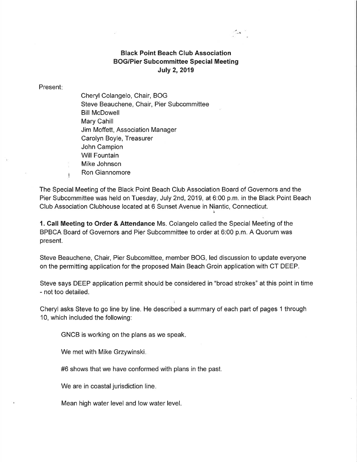## Black Point Beach Club Association BOG/Pier Subcommittee Special Meeting **July 2, 2019**

Gas 1

## Present

Cheryl Colangelo, Chair, BOG Steve Beauchene, Chair, Pier Subcommittee Bill McDowell Mary Cahill Jim Moffett, Association Manager Carolyn Boyle, Treasurer John Campion Will Fountain Mike Johnson Ron Giannomore

The Special Meeting of the Black Point Beach Club Association Board of Governors and the Pier Subcommittee was held on Tuesday, July 2nd, 2019, at 6:00 p.m. in the Black Point Beach Club Association Clubhouse located at 6 Sunset Avenue in Niantic, Connecticut.

1. Call Meeting to Order & Attendance Ms. Colangelo called the Special Meeting of the BPBCA Board of Governors and Pier Subcommittee to order at 6:00 p.m. A Quorum was present.

Steve Beauchene, Chair, Pier Subcomittee, member BOG, led discussion to update everyone on the permitting application for the proposed Main Beach Groin application with CT DEEP.

Steve says DEEP application permit should be considered in "broad strokes" at this point in time - not too detailed.

Cheryl asks Steve to go line by line. He described a summary of each part of pages 1 through 10, which included the following:

GNCB is working on the plans as we speak

We met with Mike Grzywinski

#6 shows that we have conformed with plans in the past.

We are in coastal jurisdiction line.

Mean high water level and low water level